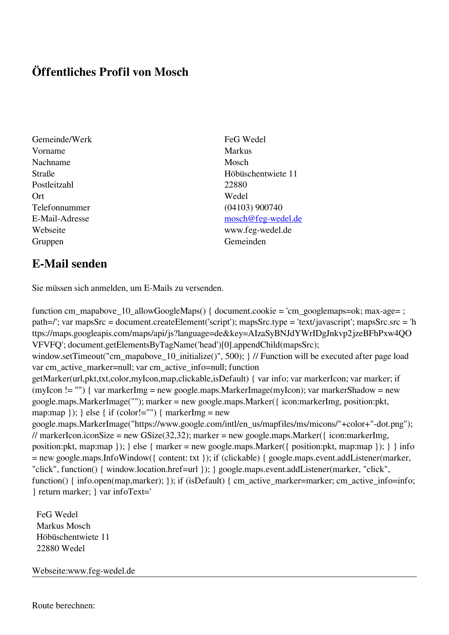## **Öffentliches Profil von Mosch**

- Gemeinde/Werk FeG Wedel Vorname Markus Nachname Mosch Postleitzahl 22880 Ort Wedel Telefonnummer (04103) 900740 Gruppen Gemeinden Gemeinden Gemeinden Gemeinden Gemeinden Gemeinden Gemeinden Gemeinden Gemeinden Gemeinden G
- Straße Höbüschentwiete 11 E-Mail-Adresse [mosch@feg-wedel.de](mailto:mosch@feg-wedel.de) Webseite www.feg-wedel.de

## **E-Mail senden**

Sie müssen sich anmelden, um E-Mails zu versenden.

function cm\_mapabove\_10\_allowGoogleMaps() { document.cookie = 'cm\_googlemaps=ok; max-age= ; path=/'; var mapsSrc = document.createElement('script'); mapsSrc.type = 'text/javascript'; mapsSrc.src = 'h ttps://maps.googleapis.com/maps/api/js?language=de&key=AIzaSyBNJdYWrIDgJnkvp2jzeBFhPxw4QO VFVFQ'; document.getElementsByTagName('head')[0].appendChild(mapsSrc); window.setTimeout("cm\_mapabove\_10\_initialize()", 500); } // Function will be executed after page load var cm\_active\_marker=null; var cm\_active\_info=null; function getMarker(url,pkt,txt,color,myIcon,map,clickable,isDefault) { var info; var markerIcon; var marker; if (myIcon != "") { var markerImg = new google.maps.MarkerImage(myIcon); var markerShadow = new google.maps.MarkerImage(""); marker = new google.maps.Marker({ icon:markerImg, position:pkt, map:map  $\}$ ;  $\}$  else  $\{$  if (color!="")  $\{$  markerImg = new google.maps.MarkerImage("https://www.google.com/intl/en\_us/mapfiles/ms/micons/"+color+"-dot.png"); // markerIcon.iconSize = new GSize(32,32); marker = new google.maps.Marker({ $i$ con:markerImg, position:pkt, map:map }); } else { marker = new google.maps.Marker({ position:pkt, map:map }); } } info = new google.maps.InfoWindow({ content: txt }); if (clickable) { google.maps.event.addListener(marker, "click", function() { window.location.href=url }); } google.maps.event.addListener(marker, "click", function() { info.open(map,marker); }); if (isDefault) { cm\_active\_marker=marker; cm\_active\_info=info; } return marker; } var infoText='

 FeG Wedel Markus Mosch Höbüschentwiete 11 22880 Wedel

Webseite:www.feg-wedel.de